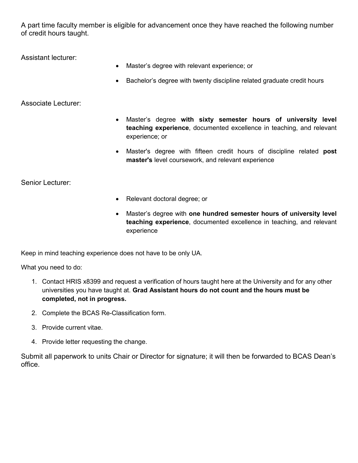A part time faculty member is eligible for advancement once they have reached the following number of credit hours taught.

Assistant lecturer:

- Master's degree with relevant experience; or
- Bachelor's degree with twenty discipline related graduate credit hours

## Associate Lecturer:

- Master's degree **with sixty semester hours of university level teaching experience**, documented excellence in teaching, and relevant experience; or
- Master's degree with fifteen credit hours of discipline related **post master's** level coursework, and relevant experience

Senior Lecturer:

- Relevant doctoral degree; or
- Master's degree with **one hundred semester hours of university level teaching experience**, documented excellence in teaching, and relevant experience

Keep in mind teaching experience does not have to be only UA.

What you need to do:

- 1. Contact HRIS x8399 and request a verification of hours taught here at the University and for any other universities you have taught at. **Grad Assistant hours do not count and the hours must be completed, not in progress.**
- 2. Complete the BCAS Re-Classification form.
- 3. Provide current vitae.
- 4. Provide letter requesting the change.

Submit all paperwork to units Chair or Director for signature; it will then be forwarded to BCAS Dean's office.